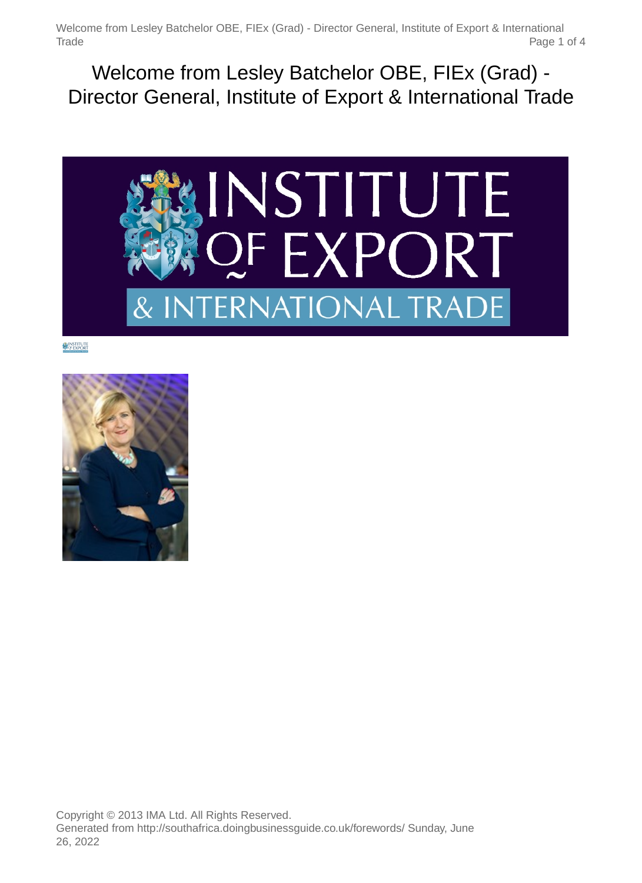Welcome from Lesley Batchelor OBE, FIEx (Grad) - Director General, Institute of Export & International Trade Page 1 of 4

Welcome from Lesley Batchelor OBE, FIEx (Grad) - Director General, Institute of Export & International Trade



**NINSTITUTE** 

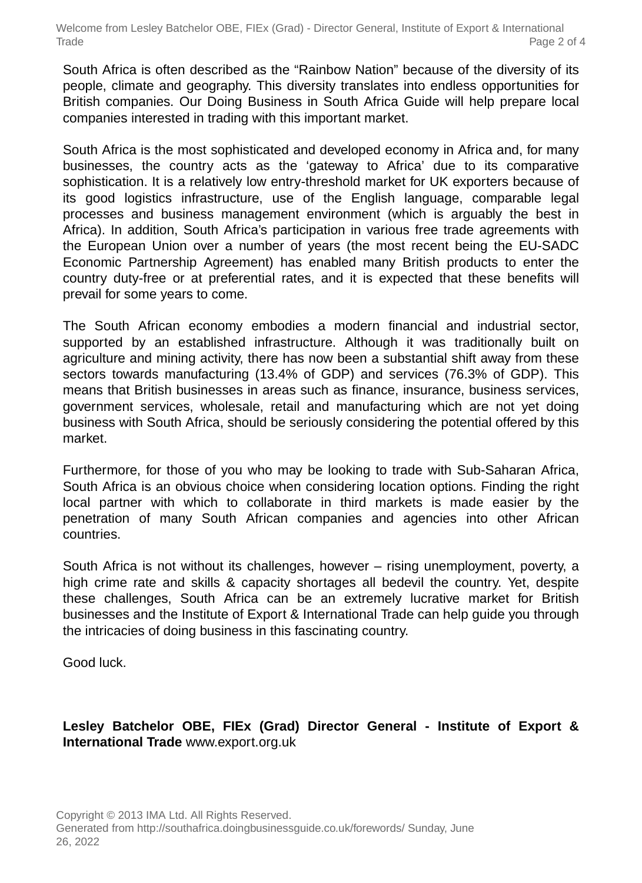Welcome from Lesley Batchelor OBE, FIEx (Grad) - Director General, Institute of Export & International Trade Page 2 of 4

South Africa is often described as the "Rainbow Nation" because of the diversity of its people, climate and geography. This diversity translates into endless opportunities for British companies. Our Doing Business in South Africa Guide will help prepare local companies interested in trading with this important market.

South Africa is the most sophisticated and developed economy in Africa and, for many businesses, the country acts as the 'gateway to Africa' due to its comparative sophistication. It is a relatively low entry-threshold market for UK exporters because of its good logistics infrastructure, use of the English language, comparable legal processes and business management environment (which is arguably the best in Africa). In addition, South Africa's participation in various free trade agreements with the European Union over a number of years (the most recent being the EU-SADC Economic Partnership Agreement) has enabled many British products to enter the country duty-free or at preferential rates, and it is expected that these benefits will prevail for some years to come.

The South African economy embodies a modern financial and industrial sector, supported by an established infrastructure. Although it was traditionally built on agriculture and mining activity, there has now been a substantial shift away from these sectors towards manufacturing (13.4% of GDP) and services (76.3% of GDP). This means that British businesses in areas such as finance, insurance, business services, government services, wholesale, retail and manufacturing which are not yet doing business with South Africa, should be seriously considering the potential offered by this market.

Furthermore, for those of you who may be looking to trade with Sub-Saharan Africa, South Africa is an obvious choice when considering location options. Finding the right local partner with which to collaborate in third markets is made easier by the penetration of many South African companies and agencies into other African countries.

South Africa is not without its challenges, however – rising unemployment, poverty, a high crime rate and skills & capacity shortages all bedevil the country. Yet, despite these challenges, South Africa can be an extremely lucrative market for British businesses and the Institute of Export & International Trade can help guide you through the intricacies of doing business in this fascinating country.

Good luck.

#### **Lesley Batchelor OBE, FIEx (Grad) Director General - Institute of Export & International Trade** www.export.org.uk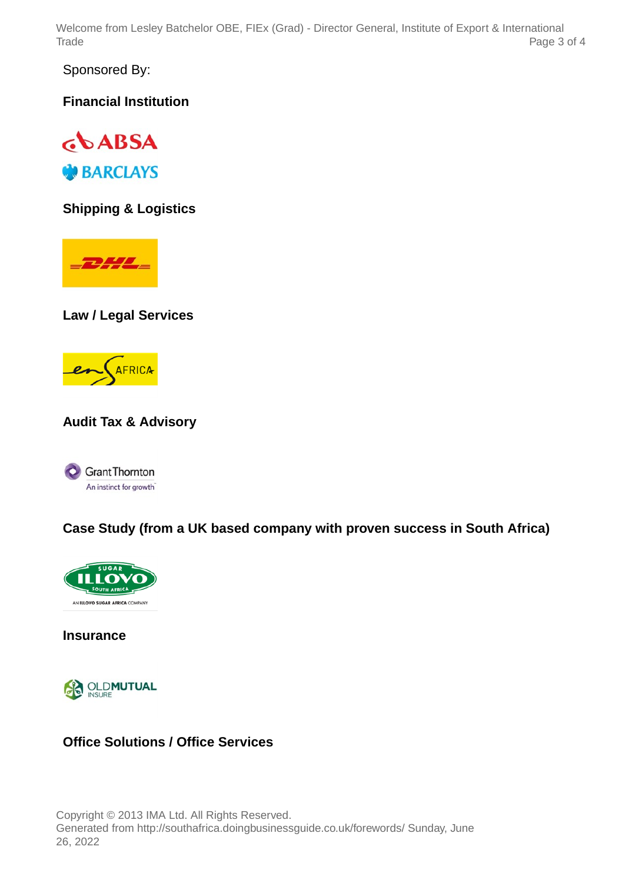Welcome from Lesley Batchelor OBE, FIEx (Grad) - Director General, Institute of Export & International Trade Page 3 of 4

Sponsored By:

**Financial Institution**



**Shipping & Logistics**

 $\frac{1}{2}$ 

**Law / Legal Services**



# **Audit Tax & Advisory**



# **Case Study (from a UK based company with proven success in South Africa)**



**Insurance**



#### **Office Solutions / Office Services**